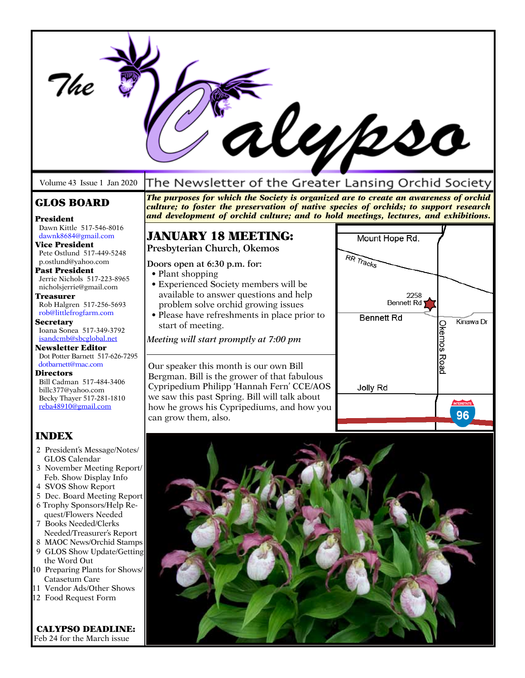| <u>Wypso</u>                                                                                                                                                                                                                                                                                                                                                                                                                                                                                                                                |                                                                                                                                                                                                                                                                                                                                                        |                                                                               |                                 |  |
|---------------------------------------------------------------------------------------------------------------------------------------------------------------------------------------------------------------------------------------------------------------------------------------------------------------------------------------------------------------------------------------------------------------------------------------------------------------------------------------------------------------------------------------------|--------------------------------------------------------------------------------------------------------------------------------------------------------------------------------------------------------------------------------------------------------------------------------------------------------------------------------------------------------|-------------------------------------------------------------------------------|---------------------------------|--|
| Volume 43 Issue 1 Jan 2020                                                                                                                                                                                                                                                                                                                                                                                                                                                                                                                  | The Newsletter of the Greater Lansing Orchid Society                                                                                                                                                                                                                                                                                                   |                                                                               |                                 |  |
| <b>GLOS BOARD</b><br>President                                                                                                                                                                                                                                                                                                                                                                                                                                                                                                              | The purposes for which the Society is organized are to create an awareness of orchid<br>culture; to foster the preservation of native species of orchids; to support research<br>and development of orchid culture; and to hold meetings, lectures, and exhibitions.                                                                                   |                                                                               |                                 |  |
| Dawn Kittle 517-546-8016<br>dawnk8684@gmail.com<br><b>Vice President</b><br>Pete Ostlund 517-449-5248<br>p.ostlund@yahoo.com<br><b>Past President</b><br>Jerrie Nichols 517-223-8965<br>nicholsjerrie@gmail.com<br><b>Treasurer</b><br>Rob Halgren 517-256-5693<br>rob@littlefrogfarm.com<br><b>Secretary</b><br>Ioana Sonea 517-349-3792<br>isandcmb@sbcglobal.net<br><b>Newsletter Editor</b>                                                                                                                                             | <b>JANUARY 18 MEETING:</b><br>Presbyterian Church, Okemos<br>Doors open at 6:30 p.m. for:<br>• Plant shopping<br>• Experienced Society members will be<br>available to answer questions and help<br>problem solve orchid growing issues<br>• Please have refreshments in place prior to<br>start of meeting.<br>Meeting will start promptly at 7:00 pm | Mount Hope Rd.<br>RR Tracks<br>2258<br><b>Bennett Rd</b><br><b>Bennett Rd</b> | Kinawa Dr<br>Okemos             |  |
| Dot Potter Barnett 517-626-7295<br>dotbarnett@mac.com<br><b>Directors</b><br>Bill Cadman 517-484-3406<br>billc377@yahoo.com<br>Becky Thayer 517-281-1810<br>reba48910@gmail.com                                                                                                                                                                                                                                                                                                                                                             | Our speaker this month is our own Bill<br>Bergman. Bill is the grower of that fabulous<br>Cypripedium Philipp 'Hannah Fern' CCE/AOS<br>we saw this past Spring. Bill will talk about<br>how he grows his Cypripediums, and how you<br>can grow them, also.                                                                                             | Jolly Rd                                                                      | Road<br><b>INTERSTATE</b><br>96 |  |
| <b>INDEX</b><br>2 President's Message/Notes/<br><b>GLOS</b> Calendar<br>3 November Meeting Report/<br>Feb. Show Display Info<br>4 SVOS Show Report<br>5 Dec. Board Meeting Report<br>6 Trophy Sponsors/Help Re-<br>quest/Flowers Needed<br>7 Books Needed/Clerks<br>Needed/Treasurer's Report<br>8 MAOC News/Orchid Stamps<br>9 GLOS Show Update/Getting<br>the Word Out<br>10 Preparing Plants for Shows/<br>Catasetum Care<br>11 Vendor Ads/Other Shows<br>12 Food Request Form<br><b>CALYPSO DEADLINE:</b><br>Feb 24 for the March issue |                                                                                                                                                                                                                                                                                                                                                        |                                                                               |                                 |  |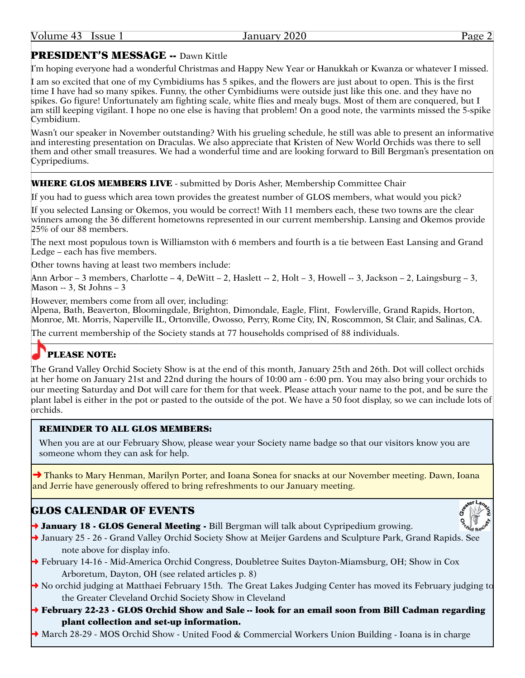# PRESIDENT'S MESSAGE -- Dawn Kittle

I'm hoping everyone had a wonderful Christmas and Happy New Year or Hanukkah or Kwanza or whatever I missed.

I am so excited that one of my Cymbidiums has 5 spikes, and the flowers are just about to open. This is the first time I have had so many spikes. Funny, the other Cymbidiums were outside just like this one. and they have no spikes. Go figure! Unfortunately am fighting scale, white flies and mealy bugs. Most of them are conquered, but I am still keeping vigilant. I hope no one else is having that problem! On a good note, the varmints missed the 5-spike Cymbidium.

Wasn't our speaker in November outstanding? With his grueling schedule, he still was able to present an informative and interesting presentation on Draculas. We also appreciate that Kristen of New World Orchids was there to sell them and other small treasures. We had a wonderful time and are looking forward to Bill Bergman's presentation on Cypripediums.

#### WHERE GLOS MEMBERS LIVE - submitted by Doris Asher, Membership Committee Chair

If you had to guess which area town provides the greatest number of GLOS members, what would you pick?

If you selected Lansing or Okemos, you would be correct! With 11 members each, these two towns are the clear winners among the 36 different hometowns represented in our current membership. Lansing and Okemos provide 25% of our 88 members.

The next most populous town is Williamston with 6 members and fourth is a tie between East Lansing and Grand Ledge – each has five members.

Other towns having at least two members include:

Ann Arbor – 3 members, Charlotte – 4, DeWitt – 2, Haslett -- 2, Holt – 3, Howell -- 3, Jackson – 2, Laingsburg – 3, Mason -- 3, St Johns – 3

However, members come from all over, including:

Alpena, Bath, Beaverton, Bloomingdale, Brighton, Dimondale, Eagle, Flint, Fowlerville, Grand Rapids, Horton, Monroe, Mt. Morris, Naperville IL, Ortonville, Owosso, Perry, Rome City, IN, Roscommon, St Clair, and Salinas, CA.

The current membership of the Society stands at 77 households comprised of 88 individuals.

# PLEASE NOTE:

The Grand Valley Orchid Society Show is at the end of this month, January 25th and 26th. Dot will collect orchids at her home on January 21st and 22nd during the hours of 10:00 am - 6:00 pm. You may also bring your orchids to our meeting Saturday and Dot will care for them for that week. Please attach your name to the pot, and be sure the plant label is either in the pot or pasted to the outside of the pot. We have a 50 foot display, so we can include lots of orchids.

#### REMINDER TO ALL GLOS MEMBERS:

When you are at our February Show, please wear your Society name badge so that our visitors know you are someone whom they can ask for help.

→ Thanks to Mary Henman, Marilyn Porter, and Ioana Sonea for snacks at our November meeting. Dawn, Ioana and Jerrie have generously offered to bring refreshments to our January meeting.

## GLOS CALENDAR OF EVENTS

→ **January 18 - GLOS General Meeting -** Bill Bergman will talk about Cypripedium growing.

- → January 25 26 Grand Valley Orchid Society Show at Meijer Gardens and Sculpture Park, Grand Rapids. See note above for display info.
- ➜ February 14-16 Mid-America Orchid Congress, Doubletree Suites Dayton-Miamsburg, OH; Show in Cox Arboretum, Dayton, OH (see related articles p. 8)
- → No orchid judging at Matthaei February 15th. The Great Lakes Judging Center has moved its February judging to the Greater Cleveland Orchid Society Show in Cleveland
- $\rightarrow$  February 22-23 GLOS Orchid Show and Sale -- look for an email soon from Bill Cadman regarding plant collection and set-up information.
- ➜ March 28-29 MOS Orchid Show United Food & Commercial Workers Union Building Ioana is in charge

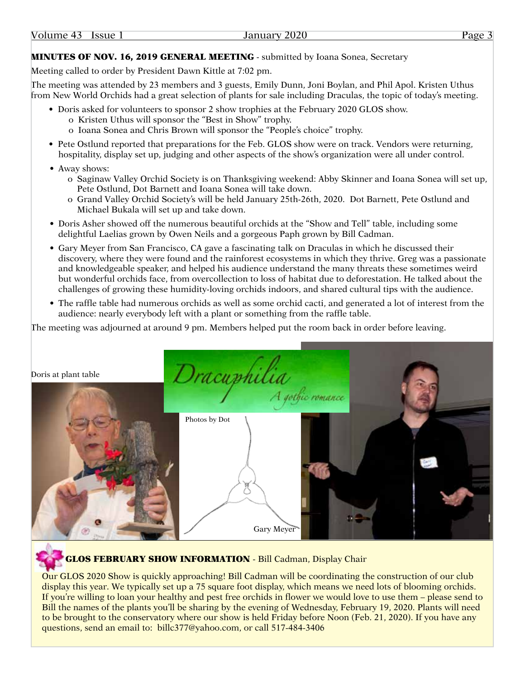### MINUTES OF NOV. 16, 2019 GENERAL MEETING - submitted by Ioana Sonea, Secretary

Meeting called to order by President Dawn Kittle at 7:02 pm.

The meeting was attended by 23 members and 3 guests, Emily Dunn, Joni Boylan, and Phil Apol. Kristen Uthus from New World Orchids had a great selection of plants for sale including Draculas, the topic of today's meeting.

- Doris asked for volunteers to sponsor 2 show trophies at the February 2020 GLOS show.
	- o Kristen Uthus will sponsor the "Best in Show" trophy.
	- o Ioana Sonea and Chris Brown will sponsor the "People's choice" trophy.
- Pete Ostlund reported that preparations for the Feb. GLOS show were on track. Vendors were returning, hospitality, display set up, judging and other aspects of the show's organization were all under control.
- Away shows:
	- o Saginaw Valley Orchid Society is on Thanksgiving weekend: Abby Skinner and Ioana Sonea will set up, Pete Ostlund, Dot Barnett and Ioana Sonea will take down.
	- o Grand Valley Orchid Society's will be held January 25th-26th, 2020. Dot Barnett, Pete Ostlund and Michael Bukala will set up and take down.
- Doris Asher showed off the numerous beautiful orchids at the "Show and Tell" table, including some delightful Laelias grown by Owen Neils and a gorgeous Paph grown by Bill Cadman.
- Gary Meyer from San Francisco, CA gave a fascinating talk on Draculas in which he discussed their discovery, where they were found and the rainforest ecosystems in which they thrive. Greg was a passionate and knowledgeable speaker, and helped his audience understand the many threats these sometimes weird but wonderful orchids face, from overcollection to loss of habitat due to deforestation. He talked about the challenges of growing these humidity-loving orchids indoors, and shared cultural tips with the audience.
- The raffle table had numerous orchids as well as some orchid cacti, and generated a lot of interest from the audience: nearly everybody left with a plant or something from the raffle table.

The meeting was adjourned at around 9 pm. Members helped put the room back in order before leaving.

Doris at plant table



# **GLOS FEBRUARY SHOW INFORMATION - Bill Cadman, Display Chair**

Our GLOS 2020 Show is quickly approaching! Bill Cadman will be coordinating the construction of our club display this year. We typically set up a 75 square foot display, which means we need lots of blooming orchids. If you're willing to loan your healthy and pest free orchids in flower we would love to use them – please send to Bill the names of the plants you'll be sharing by the evening of Wednesday, February 19, 2020. Plants will need to be brought to the conservatory where our show is held Friday before Noon (Feb. 21, 2020). If you have any questions, send an email to: billc377@yahoo.com, or call 517-484-3406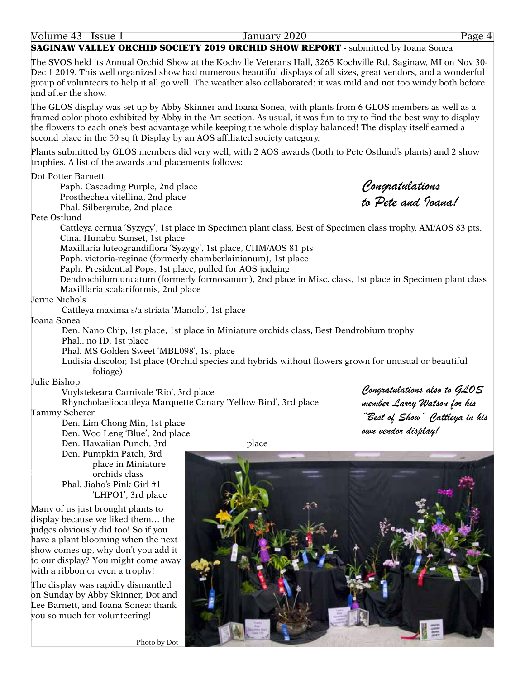#### **SAGINAW VALLEY ORCHID SOCIETY 2019 ORCHID SHOW REPORT** - submitted by Ioana Sonea

The SVOS held its Annual Orchid Show at the Kochville Veterans Hall, 3265 Kochville Rd, Saginaw, MI on Nov 30- Dec 1 2019. This well organized show had numerous beautiful displays of all sizes, great vendors, and a wonderful group of volunteers to help it all go well. The weather also collaborated: it was mild and not too windy both before and after the show.

The GLOS display was set up by Abby Skinner and Ioana Sonea, with plants from 6 GLOS members as well as a framed color photo exhibited by Abby in the Art section. As usual, it was fun to try to find the best way to display the flowers to each one's best advantage while keeping the whole display balanced! The display itself earned a second place in the 50 sq ft Display by an AOS affiliated society category.

Plants submitted by GLOS members did very well, with 2 AOS awards (both to Pete Ostlund's plants) and 2 show trophies. A list of the awards and placements follows:

Dot Potter Barnett

Paph. Cascading Purple, 2nd place Prosthechea vitellina, 2nd place Phal. Silbergrube, 2nd place

*Congratulations to Pete and Ioana!*

Pete Ostlund

Cattleya cernua 'Syzygy', 1st place in Specimen plant class, Best of Specimen class trophy, AM/AOS 83 pts. Ctna. Hunabu Sunset, 1st place

Maxillaria luteograndiflora 'Syzygy', 1st place, CHM/AOS 81 pts

Paph. victoria-reginae (formerly chamberlainianum), 1st place

Paph. Presidential Pops, 1st place, pulled for AOS judging

Dendrochilum uncatum (formerly formosanum), 2nd place in Misc. class, 1st place in Specimen plant class Maxilllaria scalariformis, 2nd place

Jerrie Nichols

Cattleya maxima s/a striata 'Manolo', 1st place

Ioana Sonea

Den. Nano Chip, 1st place, 1st place in Miniature orchids class, Best Dendrobium trophy Phal.. no ID, 1st place

Phal. MS Golden Sweet 'MBL098', 1st place

Ludisia discolor, 1st place (Orchid species and hybrids without flowers grown for unusual or beautiful foliage)

Julie Bishop

Vuylstekeara Carnivale 'Rio', 3rd place Rhyncholaeliocattleya Marquette Canary 'Yellow Bird', 3rd place

Tammy Scherer

Den. Lim Chong Min, 1st place Den. Woo Leng 'Blue', 2nd place Den. Hawaiian Punch, 3rd place Den. Pumpkin Patch, 3rd place in Miniature orchids class Phal. Jiaho's Pink Girl #1 'LHPO1', 3rd place

Many of us just brought plants to display because we liked them… the judges obviously did too! So if you have a plant blooming when the next show comes up, why don't you add it to our display? You might come away with a ribbon or even a trophy!

The display was rapidly dismantled on Sunday by Abby Skinner, Dot and Lee Barnett, and Ioana Sonea: thank you so much for volunteering!

*Congratulations also to GLOS member Larry Watson for his "Best of Show" Cattleya in his own vendor display!*



Photo by Dot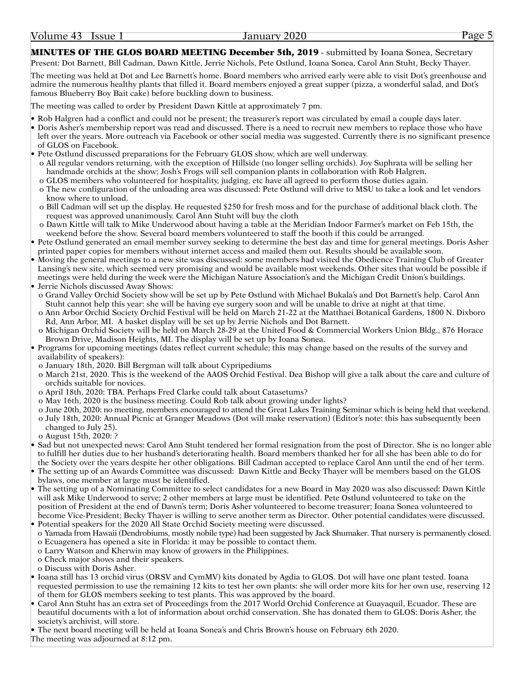MINUTES OF THE GLOS BOARD MEETING December 5th, 2019 - submitted by Ioana Sonea, Secretary Present: Dot Barnett, Bill Cadman, Dawn Kittle, Jerrie Nichols, Pete Ostlund, Ioana Sonea, Carol Ann Stuht, Becky Thayer.

The meeting was held at Dot and Lee Barnett's home. Board members who arrived early were able to visit Dot's greenhouse and admire the numerous healthy plants that filled it. Board members enjoyed a great supper (pizza, a wonderful salad, and Dot's famous Blueberry Boy Bait cake) before buckling down to business.

The meeting was called to order by President Dawn Kittle at approximately 7 pm.

- Rob Halgren had a conflict and could not be present; the treasurer's report was circulated by email a couple days later.
- Doris Asher's membership report was read and discussed. There is a need to recruit new members to replace those who have left over the years. More outreach via Facebook or other social media was suggested. Currently there is no significant presence of GLOS on Facebook.
- Pete Ostlund discussed preparations for the February GLOS show, which are well underway. o All regular vendors returning, with the exception of Hillside (no longer selling orchids). Joy Suphrata will be selling her handmade orchids at the show; Josh's Frogs will sell companion plants in collaboration with Rob Halgren. o GLOS members who volunteered for hospitality, judging, etc have all agreed to perform those duties again.
- o The new configuration of the unloading area was discussed: Pete Ostlund will drive to MSU to take a look and let vendors know where to unload.
- o Bill Cadman will set up the display. He requested \$250 for fresh moss and for the purchase of additional black cloth. The request was approved unanimously. Carol Ann Stuht will buy the cloth
- o Dawn Kittle will talk to Mike Underwood about having a table at the Meridian Indoor Farmer's market on Feb 15th, the weekend before the show. Several board members volunteered to staff the booth if this could be arranged.
- Pete Ostlund generated an email member survey seeking to determine the best day and time for general meetings. Doris Asher printed paper copies for members without internet access and mailed them out. Results should be available soon.
- Moving the general meetings to a new site was discussed: some members had visited the Obedience Training Club of Greater Lansing's new site, which seemed very promising and would be available most weekends. Other sites that would be possible if meetings were held during the week were the Michigan Nature Association's and the Michigan Credit Union's buildings. • Jerrie Nichols discussed Away Shows:
- o Grand Valley Orchid Society show will be set up by Pete Ostlund with Michael Bukala's and Dot Barnett's help. Carol Ann Stuht cannot help this year: she will be having eye surgery soon and will be unable to drive at night at that time.
- o Ann Arbor Orchid Society Orchid Festival will be held on March 21-22 at the Matthaei Botanical Gardens, 1800 N. Dixboro Rd, Ann Arbor, MI. A basket display will be set up by Jerrie Nichols and Dot Barnett.
- o Michigan Orchid Society will be held on March 28-29 at the United Food & Commercial Workers Union Bldg., 876 Horace Brown Drive, Madison Heights, MI. The display will be set up by Ioana Sonea.
- Programs for upcoming meetings (dates reflect current schedule; this may change based on the results of the survey and availability of speakers):
- o January 18th, 2020. Bill Bergman will talk about Cypripediums
- o March 21st, 2020. This is the weekend of the AAOS Orchid Festival. Dea Bishop will give a talk about the care and culture of orchids suitable for novices.
- o April 18th, 2020: TBA. Perhaps Fred Clarke could talk about Catasetums?
- o May 16th, 2020 is the business meeting. Could Rob talk about growing under lights?
- o June 20th, 2020: no meeting, members encouraged to attend the Great Lakes Training Seminar which is being held that weekend.

o July 18th, 2020: Annual Picnic at Granger Meadows (Dot will make reservation) (Editor's note: this has subsequently been changed to July 25).

- o August 15th, 2020: ?
- Sad but not unexpected news: Carol Ann Stuht tendered her formal resignation from the post of Director. She is no longer able to fulfill her duties due to her husband's deteriorating health. Board members thanked her for all she has been able to do for the Society over the years despite her other obligations. Bill Cadman accepted to replace Carol Ann until the end of her term.
- The setting up of an Awards Committee was discussed: Dawn Kittle and Becky Thayer will be members based on the GLOS bylaws, one member at large must be identified.
- The setting up of a Nominating Committee to select candidates for a new Board in May 2020 was also discussed: Dawn Kittle will ask Mike Underwood to serve; 2 other members at large must be identified. Pete Ostlund volunteered to take on the position of President at the end of Dawn's term; Doris Asher volunteered to become treasurer; Ioana Sonea volunteered to become Vice-President; Becky Thayer is willing to serve another term as Director. Other potential candidates were discussed. • Potential speakers for the 2020 All State Orchid Society meeting were discussed.
- o Yamada from Hawaii (Dendrobiums, mostly nobile type) had been suggested by Jack Shumaker. That nursery is permanently closed. o Ecuagenera has opened a site in Florida: it may be possible to contact them.
- o Larry Watson and Kherwin may know of growers in the Philippines.
- o Check major shows and their speakers.
- o Discuss with Doris Asher.
- Ioana still has 13 orchid virus (ORSV and CymMV) kits donated by Agdia to GLOS. Dot will have one plant tested. Ioana requested permission to use the remaining 12 kits to test her own plants: she will order more kits for her own use, reserving 12 of them for GLOS members seeking to test plants. This was approved by the board.
- Carol Ann Stuht has an extra set of Proceedings from the 2017 World Orchid Conference at Guayaquil, Ecuador. These are beautiful documents with a lot of information about orchid conservation. She has donated them to GLOS: Doris Asher, the society's archivist, will store.

• The next board meeting will be held at Ioana Sonea's and Chris Brown's house on February 6th 2020. The meeting was adjourned at 8:12 pm.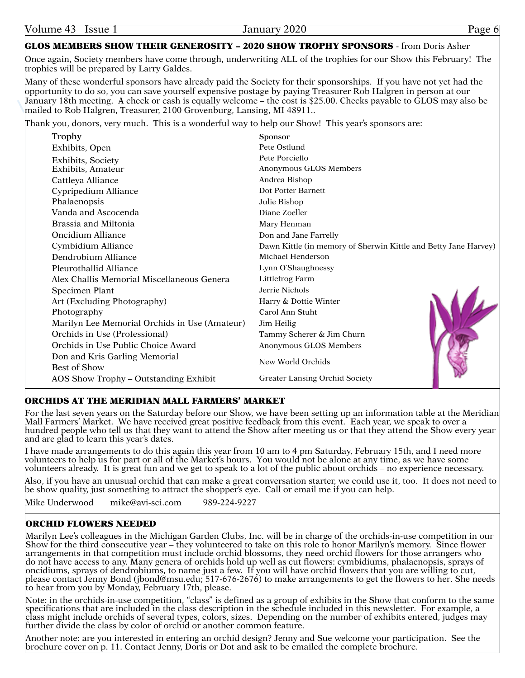## GLOS MEMBERS SHOW THEIR GENEROSITY – 2020 SHOW TROPHY SPONSORS - from Doris Asher

Once again, Society members have come through, underwriting ALL of the trophies for our Show this February! The trophies will be prepared by Larry Galdes.

Many of these wonderful sponsors have already paid the Society for their sponsorships. If you have not yet had the opportunity to do so, you can save yourself expensive postage by paying Treasurer Rob Halgren in person at our January 18th meeting. A check or cash is equally welcome – the cost is \$25.00. Checks payable to GLOS may also be mailed to Rob Halgren, Treasurer, 2100 Grovenburg, Lansing, MI 48911..

Thank you, donors, very much. This is a wonderful way to help our Show! This year's sponsors are:

| Trophy                                        | <b>Sponsor</b>                                                  |  |
|-----------------------------------------------|-----------------------------------------------------------------|--|
| Exhibits, Open                                | Pete Ostlund                                                    |  |
| Exhibits, Society                             | Pete Porciello                                                  |  |
| Exhibits, Amateur                             | Anonymous GLOS Members                                          |  |
| Cattleya Alliance                             | Andrea Bishop                                                   |  |
| Cypripedium Alliance                          | Dot Potter Barnett                                              |  |
| Phalaenopsis                                  | Julie Bishop                                                    |  |
| Vanda and Ascocenda                           | Diane Zoeller                                                   |  |
| Brassia and Miltonia                          | Mary Henman                                                     |  |
| <b>Oncidium Alliance</b>                      | Don and Jane Farrelly                                           |  |
| Cymbidium Alliance                            | Dawn Kittle (in memory of Sherwin Kittle and Betty Jane Harvey) |  |
| Dendrobium Alliance                           | Michael Henderson                                               |  |
| Pleurothallid Alliance                        | Lynn O'Shaughnessy                                              |  |
| Alex Challis Memorial Miscellaneous Genera    | Littlefrog Farm                                                 |  |
| Specimen Plant                                | Jerrie Nichols                                                  |  |
| Art (Excluding Photography)                   | Harry & Dottie Winter                                           |  |
| Photography                                   | Carol Ann Stuht                                                 |  |
| Marilyn Lee Memorial Orchids in Use (Amateur) | Jim Heilig                                                      |  |
| Orchids in Use (Professional)                 | Tammy Scherer & Jim Churn                                       |  |
| Orchids in Use Public Choice Award            | Anonymous GLOS Members                                          |  |
| Don and Kris Garling Memorial                 | New World Orchids                                               |  |
| <b>Best of Show</b>                           |                                                                 |  |
| AOS Show Trophy – Outstanding Exhibit         | Greater Lansing Orchid Society                                  |  |

## ORCHIDS AT THE MERIDIAN MALL FARMERS' MARKET

For the last seven years on the Saturday before our Show, we have been setting up an information table at the Meridian Mall Farmers' Market. We have received great positive feedback from this event. Each year, we speak to over a hundred people who tell us that they want to attend the Show after meeting us or that they attend the Show every year and are glad to learn this year's dates.

I have made arrangements to do this again this year from 10 am to 4 pm Saturday, February 15th, and I need more volunteers to help us for part or all of the Market's hours. You would not be alone at any time, as we have some volunteers already. It is great fun and we get to speak to a lot of the public about orchids – no experience necessary.

Also, if you have an unusual orchid that can make a great conversation starter, we could use it, too. It does not need to be show quality, just something to attract the shopper's eye. Call or email me if you can help.

Mike Underwood mike@avi-sci.com 989-224-9227

# ORCHID FLOWERS NEEDED

Marilyn Lee's colleagues in the Michigan Garden Clubs, Inc. will be in charge of the orchids-in-use competition in our Show for the third consecutive year – they volunteered to take on this role to honor Marilyn's memory. Since flower arrangements in that competition must include orchid blossoms, they need orchid flowers for those arrangers who do not have access to any. Many genera of orchids hold up well as cut flowers: cymbidiums, phalaenopsis, sprays of oncidiums, sprays of dendrobiums, to name just a few. If you will have orchid flowers that you are willing to cut, please contact Jenny Bond (jbond@msu.edu; 517-676-2676) to make arrangements to get the flowers to her. She needs to hear from you by Monday, February 17th, please.

Note: in the orchids-in-use competition, "class" is defined as a group of exhibits in the Show that conform to the same specifications that are included in the class description in the schedule included in this newsletter. For example, a class might include orchids of several types, colors, sizes. Depending on the number of exhibits entered, judges may further divide the class by color of orchid or another common feature.

Another note: are you interested in entering an orchid design? Jenny and Sue welcome your participation. See the brochure cover on p. 11. Contact Jenny, Doris or Dot and ask to be emailed the complete brochure.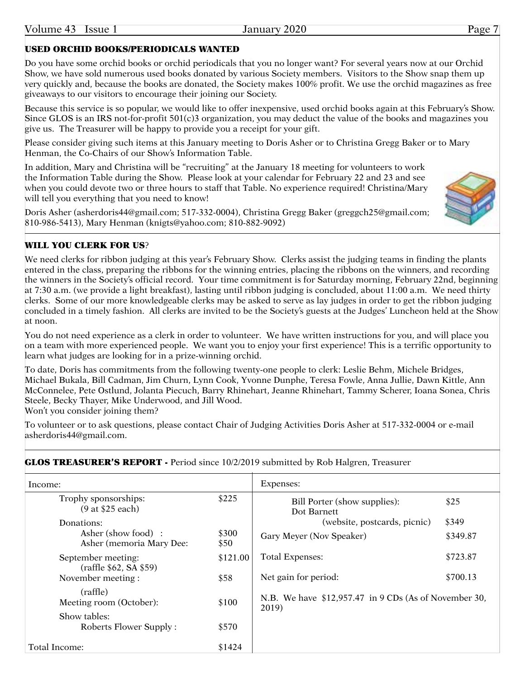# USED ORCHID BOOKS/PERIODICALS WANTED

Do you have some orchid books or orchid periodicals that you no longer want? For several years now at our Orchid Show, we have sold numerous used books donated by various Society members. Visitors to the Show snap them up very quickly and, because the books are donated, the Society makes 100% profit. We use the orchid magazines as free giveaways to our visitors to encourage their joining our Society.

Because this service is so popular, we would like to offer inexpensive, used orchid books again at this February's Show. Since GLOS is an IRS not-for-profit 501(c)3 organization, you may deduct the value of the books and magazines you give us. The Treasurer will be happy to provide you a receipt for your gift.

Please consider giving such items at this January meeting to Doris Asher or to Christina Gregg Baker or to Mary Henman, the Co-Chairs of our Show's Information Table.

In addition, Mary and Christina will be "recruiting" at the January 18 meeting for volunteers to work the Information Table during the Show. Please look at your calendar for February 22 and 23 and see when you could devote two or three hours to staff that Table. No experience required! Christina/Mary will tell you everything that you need to know!

Doris Asher (asherdoris44@gmail.com; 517-332-0004), Christina Gregg Baker (greggch25@gmail.com; 810-986-5413), Mary Henman (knigts@yahoo.com; 810-882-9092)



#### WILL YOU CLERK FOR US?

We need clerks for ribbon judging at this year's February Show. Clerks assist the judging teams in finding the plants entered in the class, preparing the ribbons for the winning entries, placing the ribbons on the winners, and recording the winners in the Society's official record. Your time commitment is for Saturday morning, February 22nd, beginning at 7:30 a.m. (we provide a light breakfast), lasting until ribbon judging is concluded, about 11:00 a.m. We need thirty clerks. Some of our more knowledgeable clerks may be asked to serve as lay judges in order to get the ribbon judging concluded in a timely fashion. All clerks are invited to be the Society's guests at the Judges' Luncheon held at the Show at noon.

You do not need experience as a clerk in order to volunteer. We have written instructions for you, and will place you on a team with more experienced people. We want you to enjoy your first experience! This is a terrific opportunity to learn what judges are looking for in a prize-winning orchid.

To date, Doris has commitments from the following twenty-one people to clerk: Leslie Behm, Michele Bridges, Michael Bukala, Bill Cadman, Jim Churn, Lynn Cook, Yvonne Dunphe, Teresa Fowle, Anna Jullie, Dawn Kittle, Ann McConnelee, Pete Ostlund, Jolanta Piecuch, Barry Rhinehart, Jeanne Rhinehart, Tammy Scherer, Ioana Sonea, Chris Steele, Becky Thayer, Mike Underwood, and Jill Wood.

Won't you consider joining them?

To volunteer or to ask questions, please contact Chair of Judging Activities Doris Asher at 517-332-0004 or e-mail asherdoris44@gmail.com.

| Income:                                        |               | Expenses:                                                      |          |
|------------------------------------------------|---------------|----------------------------------------------------------------|----------|
| Trophy sponsorships:<br>(9 at \$25 each)       | \$225         | Bill Porter (show supplies):<br>Dot Barnett                    | \$25     |
| Donations:                                     |               | (website, postcards, picnic)                                   | \$349    |
| Asher (show food):<br>Asher (memoria Mary Dee: | \$300<br>\$50 | Gary Meyer (Nov Speaker)                                       | \$349.87 |
| September meeting:<br>(raffle \$62, SA \$59)   | \$121.00      | <b>Total Expenses:</b>                                         | \$723.87 |
| November meeting:                              | \$58          | Net gain for period:                                           | \$700.13 |
| (raffle)<br>Meeting room (October):            | \$100         | N.B. We have \$12,957.47 in 9 CDs (As of November 30,<br>2019) |          |
| Show tables:<br>Roberts Flower Supply:         | \$570         |                                                                |          |
| Total Income:                                  | \$1424        |                                                                |          |

#### **GLOS TREASURER'S REPORT -** Period since 10/2/2019 submitted by Rob Halgren, Treasurer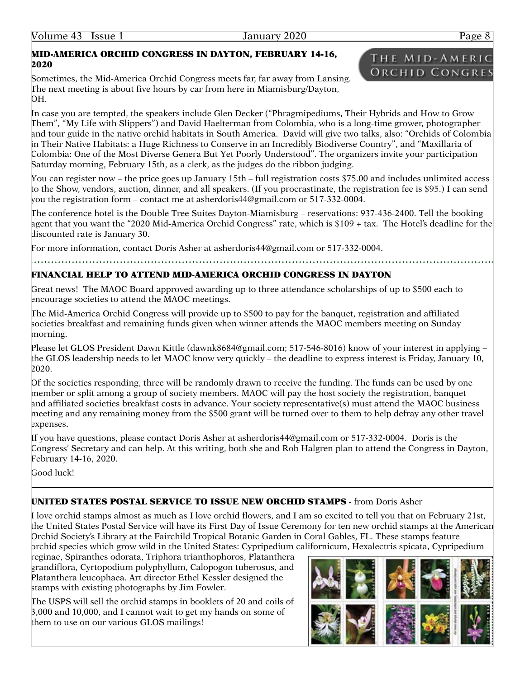#### MID-AMERICA ORCHID CONGRESS IN DAYTON, FEBRUARY 14-16, 2020

Sometimes, the Mid-America Orchid Congress meets far, far away from Lansing. The next meeting is about five hours by car from here in Miamisburg/Dayton, OH.

In case you are tempted, the speakers include Glen Decker ("Phragmipediums, Their Hybrids and How to Grow Them", "My Life with Slippers") and David Haelterman from Colombia, who is a long-time grower, photographer and tour guide in the native orchid habitats in South America. David will give two talks, also: "Orchids of Colombia in Their Native Habitats: a Huge Richness to Conserve in an Incredibly Biodiverse Country", and "Maxillaria of Colombia: One of the Most Diverse Genera But Yet Poorly Understood". The organizers invite your participation Saturday morning, February 15th, as a clerk, as the judges do the ribbon judging.

You can register now – the price goes up January 15th – full registration costs \$75.00 and includes unlimited access to the Show, vendors, auction, dinner, and all speakers. (If you procrastinate, the registration fee is \$95.) I can send you the registration form – contact me at asherdoris44@gmail.com or 517-332-0004.

The conference hotel is the Double Tree Suites Dayton-Miamisburg – reservations: 937-436-2400. Tell the booking agent that you want the "2020 Mid-America Orchid Congress" rate, which is \$109 + tax. The Hotel's deadline for the discounted rate is January 30.

For more information, contact Doris Asher at asherdoris44@gmail.com or 517-332-0004.

# FINANCIAL HELP TO ATTEND MID-AMERICA ORCHID CONGRESS IN DAYTON

Great news! The MAOC Board approved awarding up to three attendance scholarships of up to \$500 each to encourage societies to attend the MAOC meetings.

The Mid-America Orchid Congress will provide up to \$500 to pay for the banquet, registration and affiliated societies breakfast and remaining funds given when winner attends the MAOC members meeting on Sunday morning.

Please let GLOS President Dawn Kittle (dawnk8684@gmail.com; 517-546-8016) know of your interest in applying – the GLOS leadership needs to let MAOC know very quickly – the deadline to express interest is Friday, January 10, 2020.

Of the societies responding, three will be randomly drawn to receive the funding. The funds can be used by one member or split among a group of society members. MAOC will pay the host society the registration, banquet and affiliated societies breakfast costs in advance. Your society representative(s) must attend the MAOC business meeting and any remaining money from the \$500 grant will be turned over to them to help defray any other travel expenses.

If you have questions, please contact Doris Asher at asherdoris44@gmail.com or 517-332-0004. Doris is the Congress' Secretary and can help. At this writing, both she and Rob Halgren plan to attend the Congress in Dayton, February 14-16, 2020.

Good luck!

## UNITED STATES POSTAL SERVICE TO ISSUE NEW ORCHID STAMPS - from Doris Asher

I love orchid stamps almost as much as I love orchid flowers, and I am so excited to tell you that on February 21st, the United States Postal Service will have its First Day of Issue Ceremony for ten new orchid stamps at the American Orchid Society's Library at the Fairchild Tropical Botanic Garden in Coral Gables, FL. These stamps feature orchid species which grow wild in the United States: Cypripedium californicum, Hexalectris spicata, Cypripedium

reginae, Spiranthes odorata, Triphora trianthophoros, Platanthera grandiflora, Cyrtopodium polyphyllum, Calopogon tuberosus, and Platanthera leucophaea. Art director Ethel Kessler designed the stamps with existing photographs by Jim Fowler.

The USPS will sell the orchid stamps in booklets of 20 and coils of 3,000 and 10,000, and I cannot wait to get my hands on some of them to use on our various GLOS mailings!



# THE MID-AMERIC **ORCHID CONGRES**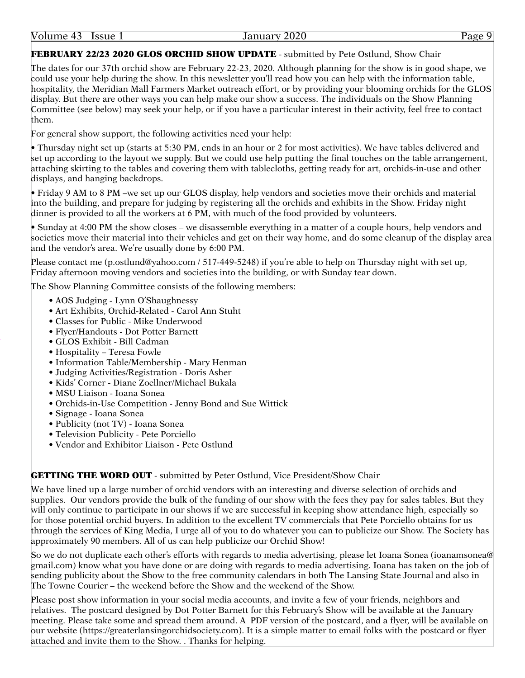#### Volume 43 Issue 1 January 2020 Page 9

# FEBRUARY 22/23 2020 GLOS ORCHID SHOW UPDATE - submitted by Pete Ostlund, Show Chair

The dates for our 37th orchid show are February 22-23, 2020. Although planning for the show is in good shape, we could use your help during the show. In this newsletter you'll read how you can help with the information table, hospitality, the Meridian Mall Farmers Market outreach effort, or by providing your blooming orchids for the GLOS display. But there are other ways you can help make our show a success. The individuals on the Show Planning Committee (see below) may seek your help, or if you have a particular interest in their activity, feel free to contact them.

For general show support, the following activities need your help:

• Thursday night set up (starts at 5:30 PM, ends in an hour or 2 for most activities). We have tables delivered and set up according to the layout we supply. But we could use help putting the final touches on the table arrangement, attaching skirting to the tables and covering them with tablecloths, getting ready for art, orchids-in-use and other displays, and hanging backdrops.

• Friday 9 AM to 8 PM –we set up our GLOS display, help vendors and societies move their orchids and material into the building, and prepare for judging by registering all the orchids and exhibits in the Show. Friday night dinner is provided to all the workers at 6 PM, with much of the food provided by volunteers.

• Sunday at 4:00 PM the show closes – we disassemble everything in a matter of a couple hours, help vendors and societies move their material into their vehicles and get on their way home, and do some cleanup of the display area and the vendor's area. We're usually done by 6:00 PM.

Please contact me (p.ostlund@yahoo.com / 517-449-5248) if you're able to help on Thursday night with set up, Friday afternoon moving vendors and societies into the building, or with Sunday tear down.

The Show Planning Committee consists of the following members:

- AOS Judging Lynn O'Shaughnessy
- Art Exhibits, Orchid-Related Carol Ann Stuht
- Classes for Public Mike Underwood
- Flyer/Handouts Dot Potter Barnett
- GLOS Exhibit Bill Cadman
- Hospitality Teresa Fowle
- Information Table/Membership Mary Henman
- Judging Activities/Registration Doris Asher
- Kids' Corner Diane Zoellner/Michael Bukala
- MSU Liaison Ioana Sonea
- Orchids-in-Use Competition Jenny Bond and Sue Wittick
- Signage Ioana Sonea
- Publicity (not TV) Ioana Sonea
- Television Publicity Pete Porciello
- Vendor and Exhibitor Liaison Pete Ostlund

## **GETTING THE WORD OUT** - submitted by Peter Ostlund, Vice President/Show Chair

We have lined up a large number of orchid vendors with an interesting and diverse selection of orchids and supplies. Our vendors provide the bulk of the funding of our show with the fees they pay for sales tables. But they will only continue to participate in our shows if we are successful in keeping show attendance high, especially so for those potential orchid buyers. In addition to the excellent TV commercials that Pete Porciello obtains for us through the services of King Media, I urge all of you to do whatever you can to publicize our Show. The Society has approximately 90 members. All of us can help publicize our Orchid Show!

So we do not duplicate each other's efforts with regards to media advertising, please let Ioana Sonea (ioanamsonea@ gmail.com) know what you have done or are doing with regards to media advertising. Ioana has taken on the job of sending publicity about the Show to the free community calendars in both The Lansing State Journal and also in The Towne Courier – the weekend before the Show and the weekend of the Show.

Please post show information in your social media accounts, and invite a few of your friends, neighbors and relatives. The postcard designed by Dot Potter Barnett for this February's Show will be available at the January meeting. Please take some and spread them around. A PDF version of the postcard, and a flyer, will be available on our website (https://greaterlansingorchidsociety.com). It is a simple matter to email folks with the postcard or flyer attached and invite them to the Show. . Thanks for helping.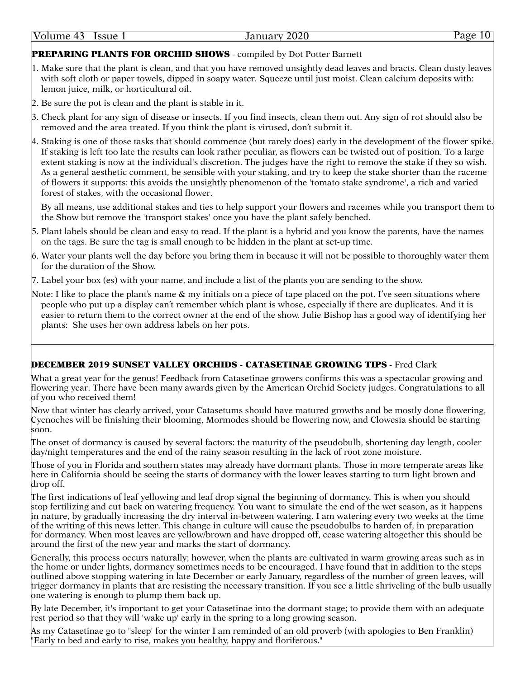# PREPARING PLANTS FOR ORCHID SHOWS - compiled by Dot Potter Barnett

- 1. Make sure that the plant is clean, and that you have removed unsightly dead leaves and bracts. Clean dusty leaves with soft cloth or paper towels, dipped in soapy water. Squeeze until just moist. Clean calcium deposits with: lemon juice, milk, or horticultural oil.
- 2. Be sure the pot is clean and the plant is stable in it.
- 3. Check plant for any sign of disease or insects. If you find insects, clean them out. Any sign of rot should also be removed and the area treated. If you think the plant is virused, don't submit it.
- 4. Staking is one of those tasks that should commence (but rarely does) early in the development of the flower spike. If staking is left too late the results can look rather peculiar, as flowers can be twisted out of position. To a large extent staking is now at the individual's discretion. The judges have the right to remove the stake if they so wish. As a general aesthetic comment, be sensible with your staking, and try to keep the stake shorter than the raceme of flowers it supports: this avoids the unsightly phenomenon of the 'tomato stake syndrome', a rich and varied forest of stakes, with the occasional flower.

By all means, use additional stakes and ties to help support your flowers and racemes while you transport them to the Show but remove the 'transport stakes' once you have the plant safely benched.

- 5. Plant labels should be clean and easy to read. If the plant is a hybrid and you know the parents, have the names on the tags. Be sure the tag is small enough to be hidden in the plant at set-up time.
- 6. Water your plants well the day before you bring them in because it will not be possible to thoroughly water them for the duration of the Show.
- 7. Label your box (es) with your name, and include a list of the plants you are sending to the show.
- Note: I like to place the plant's name & my initials on a piece of tape placed on the pot. I've seen situations where people who put up a display can't remember which plant is whose, especially if there are duplicates. And it is easier to return them to the correct owner at the end of the show. Julie Bishop has a good way of identifying her plants: She uses her own address labels on her pots.

#### DECEMBER 2019 SUNSET VALLEY ORCHIDS - CATASETINAE GROWING TIPS - Fred Clark

What a great year for the genus! Feedback from Catasetinae growers confirms this was a spectacular growing and flowering year. There have been many awards given by the American Orchid Society judges. Congratulations to all of you who received them!

Now that winter has clearly arrived, your Catasetums should have matured growths and be mostly done flowering, Cycnoches will be finishing their blooming, Mormodes should be flowering now, and Clowesia should be starting soon.

The onset of dormancy is caused by several factors: the maturity of the pseudobulb, shortening day length, cooler day/night temperatures and the end of the rainy season resulting in the lack of root zone moisture.

Those of you in Florida and southern states may already have dormant plants. Those in more temperate areas like here in California should be seeing the starts of dormancy with the lower leaves starting to turn light brown and drop off.

The first indications of leaf yellowing and leaf drop signal the beginning of dormancy. This is when you should stop fertilizing and cut back on watering frequency. You want to simulate the end of the wet season, as it happens in nature, by gradually increasing the dry interval in-between watering. I am watering every two weeks at the time of the writing of this news letter. This change in culture will cause the pseudobulbs to harden of, in preparation for dormancy. When most leaves are yellow/brown and have dropped off, cease watering altogether this should be around the first of the new year and marks the start of dormancy.

Generally, this process occurs naturally; however, when the plants are cultivated in warm growing areas such as in the home or under lights, dormancy sometimes needs to be encouraged. I have found that in addition to the steps outlined above stopping watering in late December or early January, regardless of the number of green leaves, will trigger dormancy in plants that are resisting the necessary transition. If you see a little shriveling of the bulb usually one watering is enough to plump them back up.

By late December, it's important to get your Catasetinae into the dormant stage; to provide them with an adequate rest period so that they will 'wake up' early in the spring to a long growing season.

As my Catasetinae go to "sleep' for the winter I am reminded of an old proverb (with apologies to Ben Franklin) "Early to bed and early to rise, makes you healthy, happy and floriferous."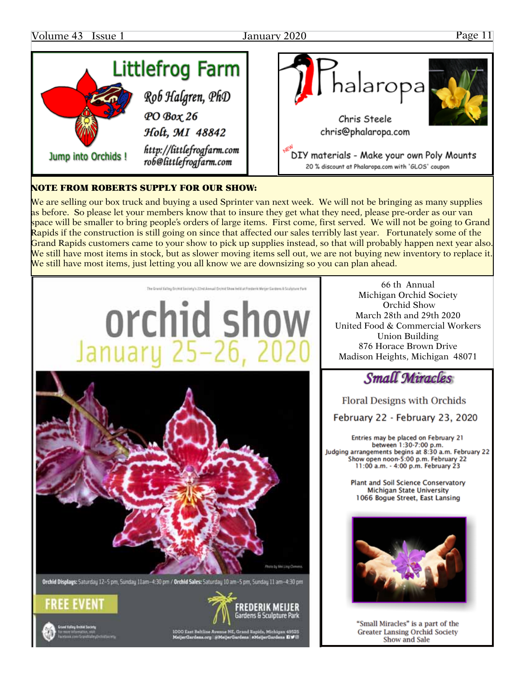